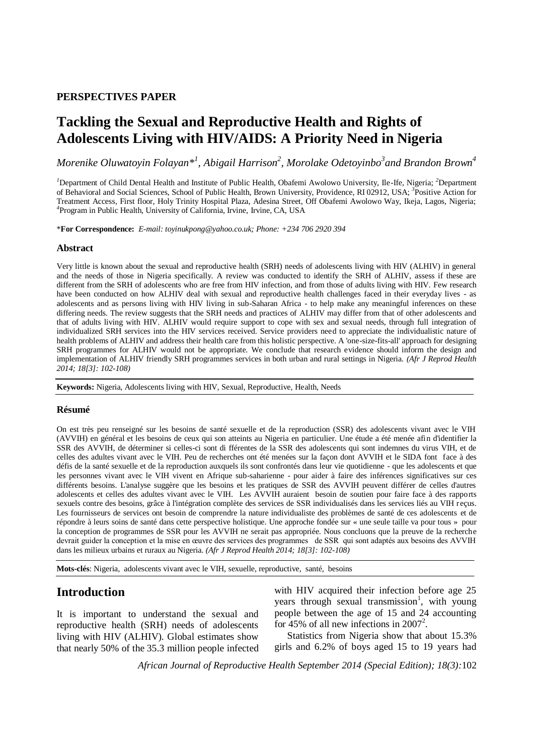### **PERSPECTIVES PAPER**

# **Tackling the Sexual and Reproductive Health and Rights of Adolescents Living with HIV/AIDS: A Priority Need in Nigeria**

*Morenike Oluwatoyin Folayan\*<sup>1</sup> , Abigail Harrison<sup>2</sup> , Morolake Odetoyinbo<sup>3</sup> and Brandon Brown<sup>4</sup>*

*<sup>1</sup>*Department of Child Dental Health and Institute of Public Health, Obafemi Awolowo University, Ile-Ife, Nigeria; *<sup>2</sup>*Department of Behavioral and Social Sciences, School of Public Health, Brown University, Providence, RI 02912, USA; *<sup>3</sup>* Positive Action for Treatment Access, First floor, Holy Trinity Hospital Plaza, Adesina Street, Off Obafemi Awolowo Way, Ikeja, Lagos, Nigeria; *4* Program in Public Health, University of California, Irvine, Irvine, CA, USA

\***For Correspondence:** *E-mail: toyinukpong@yahoo.co.uk; Phone: +234 706 2920 394*

#### **Abstract**

Very little is known about the sexual and reproductive health (SRH) needs of adolescents living with HIV (ALHIV) in general and the needs of those in Nigeria specifically. A review was conducted to identify the SRH of ALHIV, assess if these are different from the SRH of adolescents who are free from HIV infection, and from those of adults living with HIV. Few research have been conducted on how ALHIV deal with sexual and reproductive health challenges faced in their everyday lives - as adolescents and as persons living with HIV living in sub-Saharan Africa - to help make any meaningful inferences on these differing needs. The review suggests that the SRH needs and practices of ALHIV may differ from that of other adolescents and that of adults living with HIV. ALHIV would require support to cope with sex and sexual needs, through full integration of individualized SRH services into the HIV services received. Service providers need to appreciate the individualistic nature of health problems of ALHIV and address their health care from this holistic perspective. A 'one-size-fits-all' approach for designing SRH programmes for ALHIV would not be appropriate. We conclude that research evidence should inform the design and implementation of ALHIV friendly SRH programmes services in both urban and rural settings in Nigeria. *(Afr J Reprod Health 2014; 18[3]: 102-108)*

**Keywords:** Nigeria, Adolescents living with HIV, Sexual, Reproductive, Health, Needs

#### **Résumé**

On est très peu renseigné sur les besoins de santé sexuelle et de la reproduction (SSR) des adolescents vivant avec le VIH (AVVIH) en général et les besoins de ceux qui son atteints au Nigeria en particulier. Une étude a été menée afin d'identifier la SSR des AVVIH, de déterminer si celles-ci sont di fférentes de la SSR des adolescents qui sont indemnes du virus VIH, et de celles des adultes vivant avec le VIH. Peu de recherches ont été menées sur la façon dont AVVIH et le SIDA font face à des défis de la santé sexuelle et de la reproduction auxquels ils sont confrontés dans leur vie quotidienne - que les adolescents et que les personnes vivant avec le VIH vivent en Afrique sub-saharienne - pour aider à faire des inférences significatives sur ces différents besoins. L'analyse suggère que les besoins et les pratiques de SSR des AVVIH peuvent différer de celles d'autres adolescents et celles des adultes vivant avec le VIH. Les AVVIH auraient besoin de soutien pour faire face à des rapports sexuels contre des besoins, grâce à l'intégration complète des services de SSR individualisés dans les services liés au VIH reçus. Les fournisseurs de services ont besoin de comprendre la nature individualiste des problèmes de santé de ces adolescents et de répondre à leurs soins de santé dans cette perspective holistique. Une approche fondée sur « une seule taille va pour tous » pour la conception de programmes de SSR pour les AVVIH ne serait pas appropriée. Nous concluons que la preuve de la recherche devrait guider la conception et la mise en œuvre des services des programmes de SSR qui sont adaptés aux besoins des AVVIH dans les milieux urbains et ruraux au Nigeria. *(Afr J Reprod Health 2014; 18[3]: 102-108)*

**Mots-clés**: Nigeria, adolescents vivant avec le VIH, sexuelle, reproductive, santé, besoins

# **Introduction**

It is important to understand the sexual and reproductive health (SRH) needs of adolescents living with HIV (ALHIV). Global estimates show that nearly 50% of the 35.3 million people infected with HIV acquired their infection before age 25 years through sexual transmission<sup>1</sup>, with young people between the age of 15 and 24 accounting for 45% of all new infections in 2007<sup>2</sup>.

Statistics from Nigeria show that about 15.3% girls and 6.2% of boys aged 15 to 19 years had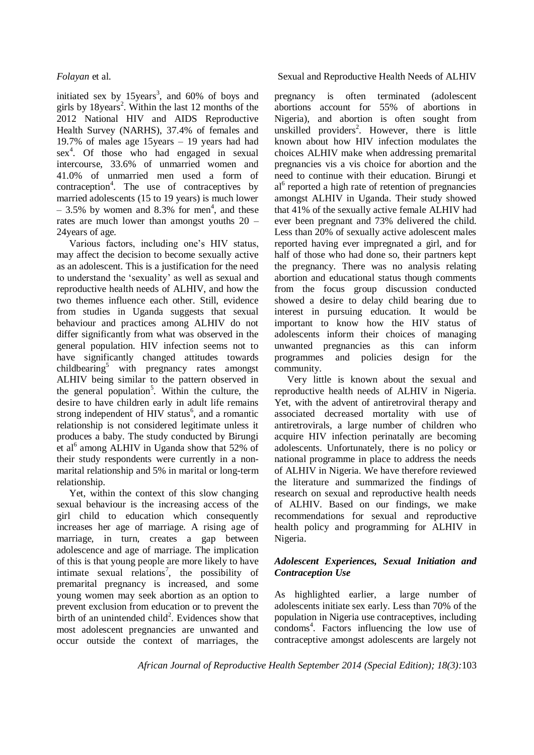initiated sex by  $15 \text{years}^3$ , and  $60\%$  of boys and girls by 18years<sup>2</sup>. Within the last 12 months of the 2012 National HIV and AIDS Reproductive Health Survey (NARHS), 37.4% of females and 19.7% of males age 15years – 19 years had had sex<sup>4</sup>. Of those who had engaged in sexual intercourse, 33.6% of unmarried women and 41.0% of unmarried men used a form of contraception<sup>4</sup>. The use of contraceptives by married adolescents (15 to 19 years) is much lower  $-3.5%$  by women and 8.3% for men<sup>4</sup>, and these rates are much lower than amongst youths 20 – 24years of age.

Various factors, including one's HIV status, may affect the decision to become sexually active as an adolescent. This is a justification for the need to understand the 'sexuality' as well as sexual and reproductive health needs of ALHIV, and how the two themes influence each other. Still, evidence from studies in Uganda suggests that sexual behaviour and practices among ALHIV do not differ significantly from what was observed in the general population. HIV infection seems not to have significantly changed attitudes towards childbearing<sup>5</sup> with pregnancy rates amongst ALHIV being similar to the pattern observed in the general population<sup>5</sup>. Within the culture, the desire to have children early in adult life remains strong independent of HIV status<sup>6</sup>, and a romantic relationship is not considered legitimate unless it produces a baby. The study conducted by Birungi et al<sup>6</sup> among ALHIV in Uganda show that 52% of their study respondents were currently in a nonmarital relationship and 5% in marital or long-term relationship.

Yet, within the context of this slow changing sexual behaviour is the increasing access of the girl child to education which consequently increases her age of marriage. A rising age of marriage, in turn, creates a gap between adolescence and age of marriage. The implication of this is that young people are more likely to have intimate sexual relations<sup>7</sup>, the possibility of premarital pregnancy is increased, and some young women may seek abortion as an option to prevent exclusion from education or to prevent the birth of an unintended child<sup>2</sup>. Evidences show that most adolescent pregnancies are unwanted and occur outside the context of marriages, the

#### *Folayan* et al. Sexual and Reproductive Health Needs of ALHIV

pregnancy is often terminated (adolescent abortions account for 55% of abortions in Nigeria), and abortion is often sought from unskilled providers<sup>2</sup>. However, there is little known about how HIV infection modulates the choices ALHIV make when addressing premarital pregnancies vis a vis choice for abortion and the need to continue with their education. Birungi et al<sup>6</sup> reported a high rate of retention of pregnancies amongst ALHIV in Uganda. Their study showed that 41% of the sexually active female ALHIV had ever been pregnant and 73% delivered the child. Less than 20% of sexually active adolescent males reported having ever impregnated a girl, and for half of those who had done so, their partners kept the pregnancy. There was no analysis relating abortion and educational status though comments from the focus group discussion conducted showed a desire to delay child bearing due to interest in pursuing education. It would be important to know how the HIV status of adolescents inform their choices of managing unwanted pregnancies as this can inform programmes and policies design for the community.

Very little is known about the sexual and reproductive health needs of ALHIV in Nigeria. Yet, with the advent of antiretroviral therapy and associated decreased mortality with use of antiretrovirals, a large number of children who acquire HIV infection perinatally are becoming adolescents. Unfortunately, there is no policy or national programme in place to address the needs of ALHIV in Nigeria. We have therefore reviewed the literature and summarized the findings of research on sexual and reproductive health needs of ALHIV. Based on our findings, we make recommendations for sexual and reproductive health policy and programming for ALHIV in Nigeria.

### *Adolescent Experiences, Sexual Initiation and Contraception Use*

As highlighted earlier, a large number of adolescents initiate sex early. Less than 70% of the population in Nigeria use contraceptives, including condoms<sup>4</sup> . Factors influencing the low use of contraceptive amongst adolescents are largely not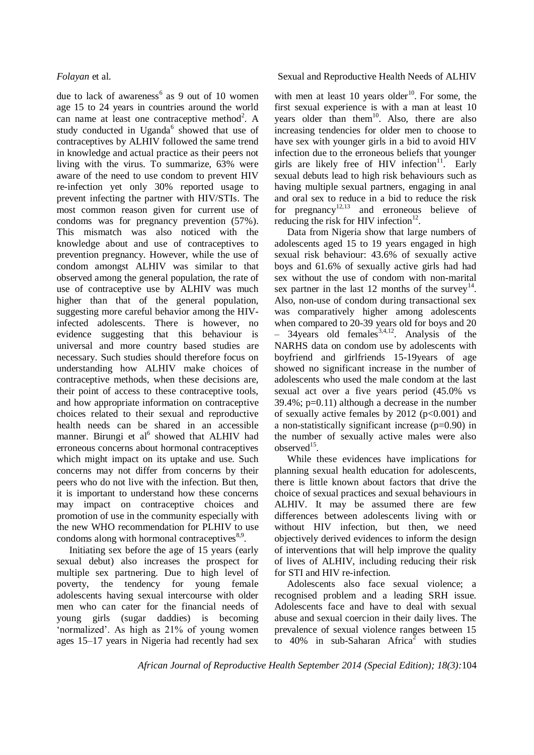due to lack of awareness<sup>6</sup> as 9 out of 10 women age 15 to 24 years in countries around the world can name at least one contraceptive method<sup>2</sup>. A study conducted in Uganda<sup>6</sup> showed that use of contraceptives by ALHIV followed the same trend in knowledge and actual practice as their peers not living with the virus. To summarize, 63% were aware of the need to use condom to prevent HIV re-infection yet only 30% reported usage to prevent infecting the partner with HIV/STIs. The most common reason given for current use of condoms was for pregnancy prevention (57%). This mismatch was also noticed with the knowledge about and use of contraceptives to prevention pregnancy. However, while the use of condom amongst ALHIV was similar to that observed among the general population, the rate of use of contraceptive use by ALHIV was much higher than that of the general population, suggesting more careful behavior among the HIVinfected adolescents. There is however, no evidence suggesting that this behaviour is universal and more country based studies are necessary. Such studies should therefore focus on understanding how ALHIV make choices of contraceptive methods, when these decisions are, their point of access to these contraceptive tools, and how appropriate information on contraceptive choices related to their sexual and reproductive health needs can be shared in an accessible manner. Birungi et al<sup>6</sup> showed that ALHIV had erroneous concerns about hormonal contraceptives which might impact on its uptake and use. Such concerns may not differ from concerns by their peers who do not live with the infection. But then, it is important to understand how these concerns may impact on contraceptive choices and promotion of use in the community especially with the new WHO recommendation for PLHIV to use condoms along with hormonal contraceptives $8.9$ .

Initiating sex before the age of 15 years (early sexual debut) also increases the prospect for multiple sex partnering. Due to high level of poverty, the tendency for young female adolescents having sexual intercourse with older men who can cater for the financial needs of young girls (sugar daddies) is becoming 'normalized'. As high as 21% of young women ages 15–17 years in Nigeria had recently had sex

#### *Folayan* et al. Sexual and Reproductive Health Needs of ALHIV

with men at least 10 years older<sup>10</sup>. For some, the first sexual experience is with a man at least 10 years older than them<sup>10</sup>. Also, there are also increasing tendencies for older men to choose to have sex with younger girls in a bid to avoid HIV infection due to the erroneous beliefs that younger girls are likely free of HIV infection $11$ . Early sexual debuts lead to high risk behaviours such as having multiple sexual partners, engaging in anal and oral sex to reduce in a bid to reduce the risk for pregnancy<sup>12,13</sup> and erroneous believe of reducing the risk for HIV infection $^{12}$ .

Data from Nigeria show that large numbers of adolescents aged 15 to 19 years engaged in high sexual risk behaviour: 43.6% of sexually active boys and 61.6% of sexually active girls had had sex without the use of condom with non-marital sex partner in the last 12 months of the survey<sup>14</sup>. Also, non-use of condom during transactional sex was comparatively higher among adolescents when compared to 20-39 years old for boys and 20  $-$  34years old females<sup>3,4,12</sup>. Analysis of the NARHS data on condom use by adolescents with boyfriend and girlfriends 15-19years of age showed no significant increase in the number of adolescents who used the male condom at the last sexual act over a five years period (45.0% vs 39.4%; p=0.11) although a decrease in the number of sexually active females by  $2012$  ( $p<0.001$ ) and a non-statistically significant increase (p=0.90) in the number of sexually active males were also observed<sup>15</sup>.

While these evidences have implications for planning sexual health education for adolescents, there is little known about factors that drive the choice of sexual practices and sexual behaviours in ALHIV. It may be assumed there are few differences between adolescents living with or without HIV infection, but then, we need objectively derived evidences to inform the design of interventions that will help improve the quality of lives of ALHIV, including reducing their risk for STI and HIV re-infection.

Adolescents also face sexual violence; a recognised problem and a leading SRH issue. Adolescents face and have to deal with sexual abuse and sexual coercion in their daily lives. The prevalence of sexual violence ranges between 15 to  $40\%$  in sub-Saharan Africa<sup>2</sup> with studies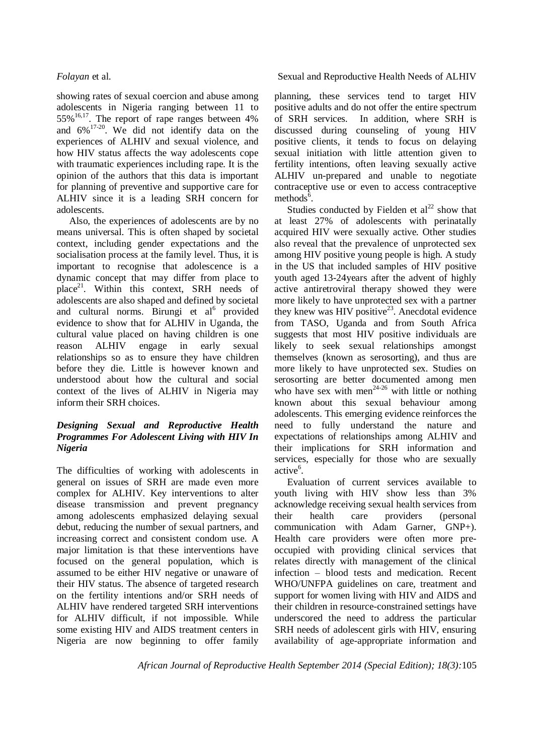showing rates of sexual coercion and abuse among adolescents in Nigeria ranging between 11 to  $55\%$ <sup>16,17</sup>. The report of rape ranges between 4% and 6%17-20 . We did not identify data on the experiences of ALHIV and sexual violence, and how HIV status affects the way adolescents cope with traumatic experiences including rape. It is the opinion of the authors that this data is important for planning of preventive and supportive care for ALHIV since it is a leading SRH concern for adolescents.

Also, the experiences of adolescents are by no means universal. This is often shaped by societal context, including gender expectations and the socialisation process at the family level. Thus, it is important to recognise that adolescence is a dynamic concept that may differ from place to place<sup>21</sup>. Within this context, SRH needs of adolescents are also shaped and defined by societal and cultural norms. Birungi et al<sup>6</sup> provided evidence to show that for ALHIV in Uganda, the cultural value placed on having children is one reason ALHIV engage in early sexual relationships so as to ensure they have children before they die. Little is however known and understood about how the cultural and social context of the lives of ALHIV in Nigeria may inform their SRH choices.

### *Designing Sexual and Reproductive Health Programmes For Adolescent Living with HIV In Nigeria*

The difficulties of working with adolescents in general on issues of SRH are made even more complex for ALHIV. Key interventions to alter disease transmission and prevent pregnancy among adolescents emphasized delaying sexual debut, reducing the number of sexual partners, and increasing correct and consistent condom use. A major limitation is that these interventions have focused on the general population, which is assumed to be either HIV negative or unaware of their HIV status. The absence of targeted research on the fertility intentions and/or SRH needs of ALHIV have rendered targeted SRH interventions for ALHIV difficult, if not impossible. While some existing HIV and AIDS treatment centers in Nigeria are now beginning to offer family

### *Folayan* et al. Sexual and Reproductive Health Needs of ALHIV

planning, these services tend to target HIV positive adults and do not offer the entire spectrum of SRH services. In addition, where SRH is discussed during counseling of young HIV positive clients, it tends to focus on delaying sexual initiation with little attention given to fertility intentions, often leaving sexually active ALHIV un-prepared and unable to negotiate contraceptive use or even to access contraceptive methods<sup> $\bar{6}$ </sup>.

Studies conducted by Fielden et  $al<sup>22</sup>$  show that at least 27% of adolescents with perinatally acquired HIV were sexually active. Other studies also reveal that the prevalence of unprotected sex among HIV positive young people is high. A study in the US that included samples of HIV positive youth aged 13-24years after the advent of highly active antiretroviral therapy showed they were more likely to have unprotected sex with a partner they knew was HIV positive<sup>23</sup>. Anecdotal evidence from TASO, Uganda and from South Africa suggests that most HIV positive individuals are likely to seek sexual relationships amongst themselves (known as serosorting), and thus are more likely to have unprotected sex. Studies on serosorting are better documented among men who have sex with men<sup> $24-26$ </sup> with little or nothing known about this sexual behaviour among adolescents. This emerging evidence reinforces the need to fully understand the nature and expectations of relationships among ALHIV and their implications for SRH information and services, especially for those who are sexually active<sup>6</sup>.

Evaluation of current services available to youth living with HIV show less than 3% acknowledge receiving sexual health services from their health care providers (personal communication with Adam Garner, GNP+). Health care providers were often more preoccupied with providing clinical services that relates directly with management of the clinical infection – blood tests and medication. Recent WHO/UNFPA guidelines on care, treatment and support for women living with HIV and AIDS and their children in resource-constrained settings have underscored the need to address the particular SRH needs of adolescent girls with HIV, ensuring availability of age-appropriate information and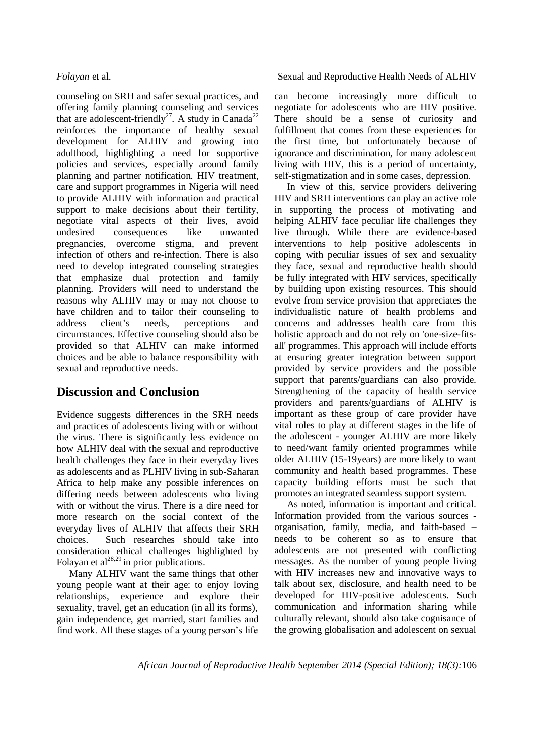counseling on SRH and safer sexual practices, and offering family planning counseling and services that are adolescent-friendly<sup>27</sup>. A study in Canada<sup>22</sup> reinforces the importance of healthy sexual development for ALHIV and growing into adulthood, highlighting a need for supportive policies and services, especially around family planning and partner notification. HIV treatment, care and support programmes in Nigeria will need to provide ALHIV with information and practical support to make decisions about their fertility, negotiate vital aspects of their lives, avoid undesired consequences like unwanted pregnancies, overcome stigma, and prevent infection of others and re-infection. There is also need to develop integrated counseling strategies that emphasize dual protection and family planning. Providers will need to understand the reasons why ALHIV may or may not choose to have children and to tailor their counseling to address client's needs, perceptions and circumstances. Effective counseling should also be provided so that ALHIV can make informed choices and be able to balance responsibility with sexual and reproductive needs.

# **Discussion and Conclusion**

Evidence suggests differences in the SRH needs and practices of adolescents living with or without the virus. There is significantly less evidence on how ALHIV deal with the sexual and reproductive health challenges they face in their everyday lives as adolescents and as PLHIV living in sub-Saharan Africa to help make any possible inferences on differing needs between adolescents who living with or without the virus. There is a dire need for more research on the social context of the everyday lives of ALHIV that affects their SRH choices. Such researches should take into consideration ethical challenges highlighted by Folayan et al $^{28,29}$  in prior publications.

Many ALHIV want the same things that other young people want at their age: to enjoy loving relationships, experience and explore their sexuality, travel, get an education (in all its forms), gain independence, get married, start families and find work. All these stages of a young person's life

### *Folayan* et al. Sexual and Reproductive Health Needs of ALHIV

can become increasingly more difficult to negotiate for adolescents who are HIV positive. There should be a sense of curiosity and fulfillment that comes from these experiences for the first time, but unfortunately because of ignorance and discrimination, for many adolescent living with HIV, this is a period of uncertainty, self-stigmatization and in some cases, depression.

In view of this, service providers delivering HIV and SRH interventions can play an active role in supporting the process of motivating and helping ALHIV face peculiar life challenges they live through. While there are evidence-based interventions to help positive adolescents in coping with peculiar issues of sex and sexuality they face, sexual and reproductive health should be fully integrated with HIV services, specifically by building upon existing resources. This should evolve from service provision that appreciates the individualistic nature of health problems and concerns and addresses health care from this holistic approach and do not rely on 'one-size-fitsall' programmes. This approach will include efforts at ensuring greater integration between support provided by service providers and the possible support that parents/guardians can also provide. Strengthening of the capacity of health service providers and parents/guardians of ALHIV is important as these group of care provider have vital roles to play at different stages in the life of the adolescent - younger ALHIV are more likely to need/want family oriented programmes while older ALHIV (15-19years) are more likely to want community and health based programmes. These capacity building efforts must be such that promotes an integrated seamless support system.

As noted, information is important and critical. Information provided from the various sources organisation, family, media, and faith-based – needs to be coherent so as to ensure that adolescents are not presented with conflicting messages. As the number of young people living with HIV increases new and innovative ways to talk about sex, disclosure, and health need to be developed for HIV-positive adolescents. Such communication and information sharing while culturally relevant, should also take cognisance of the growing globalisation and adolescent on sexual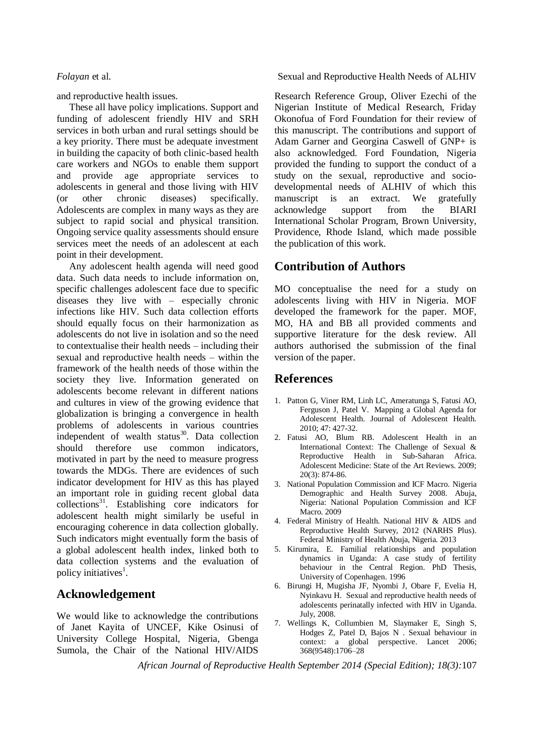and reproductive health issues.

These all have policy implications. Support and funding of adolescent friendly HIV and SRH services in both urban and rural settings should be a key priority. There must be adequate investment in building the capacity of both clinic-based health care workers and NGOs to enable them support and provide age appropriate services to adolescents in general and those living with HIV (or other chronic diseases) specifically. Adolescents are complex in many ways as they are subject to rapid social and physical transition. Ongoing service quality assessments should ensure services meet the needs of an adolescent at each point in their development.

Any adolescent health agenda will need good data. Such data needs to include information on, specific challenges adolescent face due to specific diseases they live with – especially chronic infections like HIV. Such data collection efforts should equally focus on their harmonization as adolescents do not live in isolation and so the need to contextualise their health needs – including their sexual and reproductive health needs – within the framework of the health needs of those within the society they live. Information generated on adolescents become relevant in different nations and cultures in view of the growing evidence that globalization is bringing a convergence in health problems of adolescents in various countries independent of wealth status $30$ . Data collection should therefore use common indicators, motivated in part by the need to measure progress towards the MDGs. There are evidences of such indicator development for HIV as this has played an important role in guiding recent global data  $\text{collections}^{31}$ . Establishing core indicators for adolescent health might similarly be useful in encouraging coherence in data collection globally. Such indicators might eventually form the basis of a global adolescent health index, linked both to data collection systems and the evaluation of policy initiatives<sup>1</sup>.

# **Acknowledgement**

We would like to acknowledge the contributions of Janet Kayita of UNCEF, Kike Osinusi of University College Hospital, Nigeria, Gbenga Sumola, the Chair of the National HIV/AIDS

*Folayan* et al. Sexual and Reproductive Health Needs of ALHIV

Research Reference Group, Oliver Ezechi of the Nigerian Institute of Medical Research, Friday Okonofua of Ford Foundation for their review of this manuscript. The contributions and support of Adam Garner and Georgina Caswell of GNP+ is also acknowledged. Ford Foundation, Nigeria provided the funding to support the conduct of a study on the sexual, reproductive and sociodevelopmental needs of ALHIV of which this manuscript is an extract. We gratefully acknowledge support from the BIARI International Scholar Program, Brown University, Providence, Rhode Island, which made possible the publication of this work.

# **Contribution of Authors**

MO conceptualise the need for a study on adolescents living with HIV in Nigeria. MOF developed the framework for the paper. MOF, MO, HA and BB all provided comments and supportive literature for the desk review. All authors authorised the submission of the final version of the paper.

### **References**

- 1. Patton G, Viner RM, Linh LC, Ameratunga S, Fatusi AO, Ferguson J, Patel V. Mapping a Global Agenda for Adolescent Health. Journal of Adolescent Health. 2010; 47: 427-32.
- 2. Fatusi AO, Blum RB. Adolescent Health in an International Context: The Challenge of Sexual & Reproductive Health in Sub-Saharan Africa. Adolescent Medicine: State of the Art Reviews. 2009; 20(3): 874-86.
- 3. National Population Commission and ICF Macro. Nigeria Demographic and Health Survey 2008. Abuja, Nigeria: National Population Commission and ICF Macro. 2009
- 4. Federal Ministry of Health. National HIV & AIDS and Reproductive Health Survey, 2012 (NARHS Plus). Federal Ministry of Health Abuja, Nigeria. 2013
- 5. Kirumira, E. Familial relationships and population dynamics in Uganda: A case study of fertility behaviour in the Central Region. PhD Thesis, University of Copenhagen. 1996
- 6. Birungi H, Mugisha JF, Nyombi J, Obare F, Evelia H, Nyinkavu H. Sexual and reproductive health needs of adolescents perinatally infected with HIV in Uganda. July, 2008.
- 7. Wellings K, Collumbien M, Slaymaker E, Singh S, Hodges Z, Patel D, Bajos N . Sexual behaviour in context: a global perspective. Lancet 2006; 368(9548):1706–28